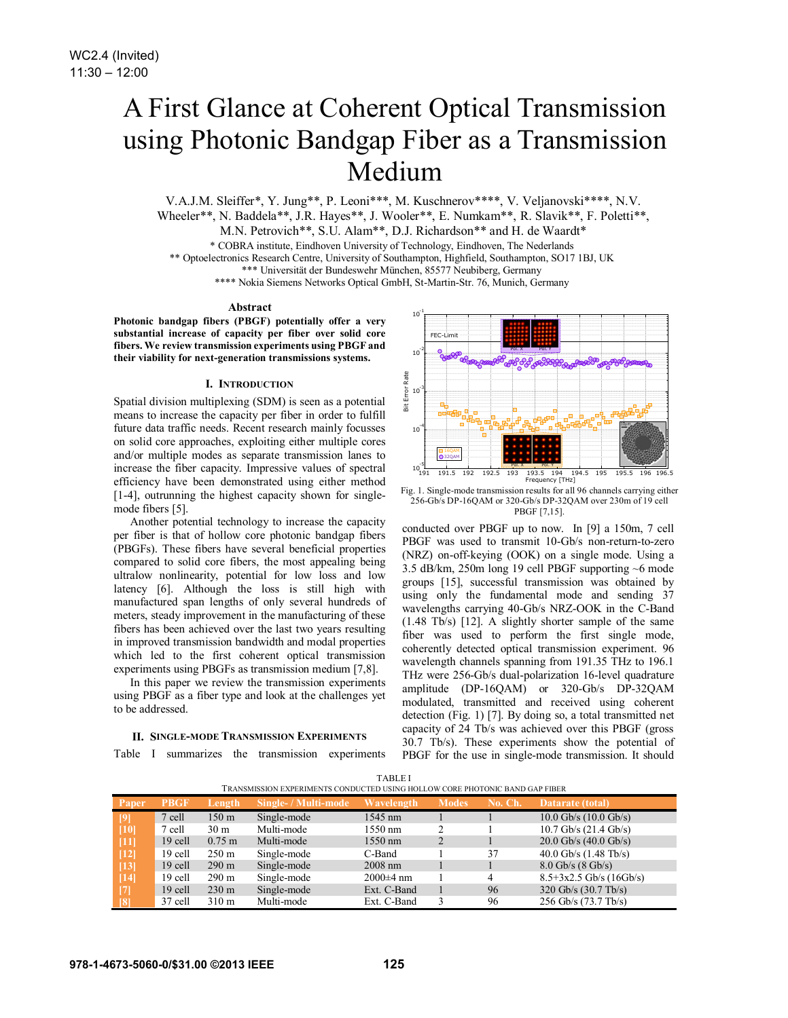# A First Glance at Coherent Optical Transmission using Photonic Bandgap Fiber as a Transmission Medium

V.A.J.M. Sleiffer\*, Y. Jung\*\*, P. Leoni\*\*\*, M. Kuschnerov\*\*\*\*, V. Veljanovski\*\*\*\*, N.V. Wheeler\*\*, N. Baddela\*\*, J.R. Hayes\*\*, J. Wooler\*\*, E. Numkam\*\*, R. Slavik\*\*, F. Poletti\*\*,

M.N. Petrovich\*\*, S.U. Alam\*\*, D.J. Richardson\*\* and H. de Waardt\*

\* COBRA institute, Eindhoven University of Technology, Eindhoven, The Nederlands

\*\* Optoelectronics Research Centre, University of Southampton, Highfield, Southampton, SO17 1BJ, UK

\*\*\* Universität der Bundeswehr München, 85577 Neubiberg, Germany

\*\*\*\* Nokia Siemens Networks Optical GmbH, St-Martin-Str. 76, Munich, Germany

#### **Abstract**

**Photonic bandgap fibers (PBGF) potentially offer a very substantial increase of capacity per fiber over solid core fibers. We review transmission experiments using PBGF and their viability for next-generation transmissions systems.** 

## **I. INTRODUCTION**

Spatial division multiplexing (SDM) is seen as a potential means to increase the capacity per fiber in order to fulfill future data traffic needs. Recent research mainly focusses on solid core approaches, exploiting either multiple cores and/or multiple modes as separate transmission lanes to increase the fiber capacity. Impressive values of spectral efficiency have been demonstrated using either method [1-4], outrunning the highest capacity shown for singlemode fibers [5].

Another potential technology to increase the capacity per fiber is that of hollow core photonic bandgap fibers (PBGFs). These fibers have several beneficial properties compared to solid core fibers, the most appealing being ultralow nonlinearity, potential for low loss and low latency [6]. Although the loss is still high with manufactured span lengths of only several hundreds of meters, steady improvement in the manufacturing of these fibers has been achieved over the last two years resulting in improved transmission bandwidth and modal properties which led to the first coherent optical transmission experiments using PBGFs as transmission medium [7,8].

In this paper we review the transmission experiments using PBGF as a fiber type and look at the challenges yet to be addressed.

## **II. SINGLE-MODE TRANSMISSION EXPERIMENTS**

Table I summarizes the transmission experiments



Fig. 1. Single-mode transmission results for all 96 channels carrying either 256-Gb/s DP-16QAM or 320-Gb/s DP-32QAM over 230m of 19 cell PBGF [7,15].

conducted over PBGF up to now. In [9] a 150m, 7 cell PBGF was used to transmit 10-Gb/s non-return-to-zero (NRZ) on-off-keying (OOK) on a single mode. Using a 3.5 dB/km, 250m long 19 cell PBGF supporting ~6 mode groups [15], successful transmission was obtained by using only the fundamental mode and sending 37 wavelengths carrying 40-Gb/s NRZ-OOK in the C-Band (1.48 Tb/s) [12]. A slightly shorter sample of the same fiber was used to perform the first single mode, coherently detected optical transmission experiment. 96 wavelength channels spanning from 191.35 THz to 196.1 THz were 256-Gb/s dual-polarization 16-level quadrature amplitude (DP-16QAM) or 320-Gb/s DP-32QAM modulated, transmitted and received using coherent detection (Fig. 1) [7]. By doing so, a total transmitted net capacity of 24 Tb/s was achieved over this PBGF (gross 30.7 Tb/s). These experiments show the potential of PBGF for the use in single-mode transmission. It should

| T NAINSINIISSIOIN EAFENIINIENTS CONDUCTED USIINU HOEEO W. CONE FITOTOINIC DAIND UAF FIBEN. |             |                  |                      |               |              |         |                                 |
|--------------------------------------------------------------------------------------------|-------------|------------------|----------------------|---------------|--------------|---------|---------------------------------|
| Paper                                                                                      | <b>PBGF</b> | Length           | Single- / Multi-mode | Wavelength    | <b>Modes</b> | No. Ch. | Datarate (total)                |
| [9]                                                                                        | 7 cell      | 150 <sub>m</sub> | Single-mode          | 1545 nm       |              |         | $10.0$ Gb/s $(10.0$ Gb/s)       |
| [10]                                                                                       | 7 cell      | 30 <sub>m</sub>  | Multi-mode           | 1550 nm       |              |         | $10.7$ Gb/s $(21.4$ Gb/s)       |
| $[11]$                                                                                     | 19 cell     | $0.75 \text{ m}$ | Multi-mode           | 1550 nm       |              |         | $20.0$ Gb/s $(40.0$ Gb/s)       |
| $[12]$                                                                                     | 19 cell     | $250 \text{ m}$  | Single-mode          | C-Band        |              | 37      | 40.0 Gb/s $(1.48 \text{ Tb/s})$ |
| $[13]$                                                                                     | 19 cell     | $290 \text{ m}$  | Single-mode          | $2008$ nm     |              |         | $8.0$ Gb/s $(8$ Gb/s)           |
| $[14]$                                                                                     | 19 cell     | $290 \text{ m}$  | Single-mode          | $2000\pm4$ nm |              | 4       | $8.5+3x2.5$ Gb/s (16Gb/s)       |
| $\vert$ 71                                                                                 | 19 cell     | $230 \text{ m}$  | Single-mode          | Ext. C-Band   |              | 96      | 320 Gb/s $(30.7 \text{ Tb/s})$  |
| 181                                                                                        | 37 cell     | $310 \text{ m}$  | Multi-mode           | Ext. C-Band   |              | 96      | 256 Gb/s (73.7 Tb/s)            |

TABLE I TRANSMISSION EXPERIMENTS CONDUCTED USING HOLLOW CORE PHOTONIC BAND GAP FIBER